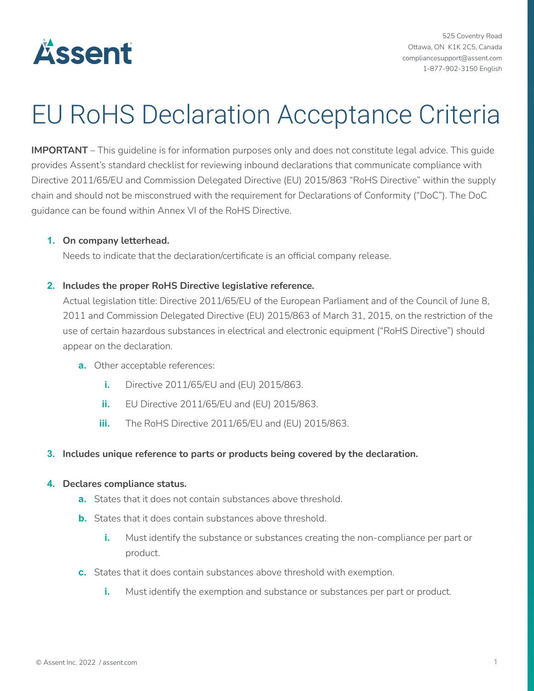

525 Coventry Road Ottawa, ON K1K 2C5, Canada compliancesupport@assent.com 1-877-902-3150 English

# EU RoHS Declaration Acceptance Criteria

**IMPORTANT** – This guideline is for information purposes only and does not constitute legal advice. This guide provides Assent's standard checklist for reviewing inbound declarations that communicate compliance with Directive 2011/65/EU and Commission Delegated Directive (EU) 2015/863 "RoHS Directive" within the supply chain and should not be misconstrued with the requirement for Declarations of Conformity ("DoC"). The DoC guidance can be found within Annex VI of the RoHS Directive.

#### **1. On company letterhead.**

Needs to indicate that the declaration/certificate is an official company release.

#### **2. Includes the proper RoHS Directive legislative reference.**

Actual legislation title: Directive 2011/65/EU of the European Parliament and of the Council of June 8, 2011 and Commission Delegated Directive (EU) 2015/863 of March 31, 2015, on the restriction of the use of certain hazardous substances in electrical and electronic equipment ("RoHS Directive") should appear on the declaration.

- **a.** Other acceptable references:
	- **i.** Directive 2011/65/EU and (EU) 2015/863.
	- **ii.** EU Directive 2011/65/EU and (EU) 2015/863.
	- **iii.** The RoHS Directive 2011/65/EU and (EU) 2015/863.

#### **3. Includes unique reference to parts or products being covered by the declaration.**

#### **4. Declares compliance status.**

- **a.** States that it does not contain substances above threshold.
- **b.** States that it does contain substances above threshold.
	- **i.** Must identify the substance or substances creating the non-compliance per part or product.
- **c.** States that it does contain substances above threshold with exemption.
	- **i.** Must identify the exemption and substance or substances per part or product.